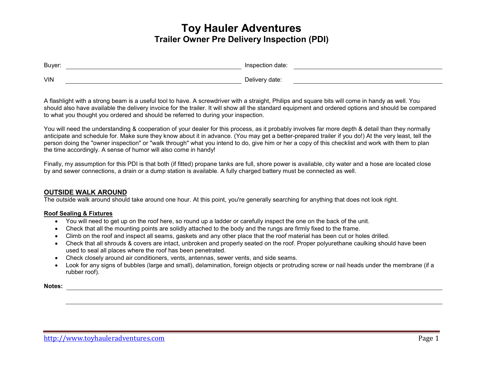| Buyer:     | Inspection date: |
|------------|------------------|
| <b>VIN</b> | Delivery date:   |

A flashlight with a strong beam is a useful tool to have. A screwdriver with a straight, Philips and square bits will come in handy as well. You should also have available the delivery invoice for the trailer. It will show all the standard equipment and ordered options and should be compared to what you thought you ordered and should be referred to during your inspection.

You will need the understanding & cooperation of your dealer for this process, as it probably involves far more depth & detail than they normally anticipate and schedule for. Make sure they know about it in advance. (You may get a better-prepared trailer if you do!) At the very least, tell the person doing the "owner inspection" or "walk through" what you intend to do, give him or her a copy of this checklist and work with them to plan the time accordingly. A sense of humor will also come in handy!

Finally, my assumption for this PDI is that both (if fitted) propane tanks are full, shore power is available, city water and a hose are located close by and sewer connections, a drain or a dump station is available. A fully charged battery must be connected as well.

# **OUTSIDE WALK AROUND**

The outside walk around should take around one hour. At this point, you're generally searching for anything that does not look right.

# **Roof Sealing & Fixtures**

- You will need to get up on the roof here, so round up a ladder or carefully inspect the one on the back of the unit.
- Check that all the mounting points are solidly attached to the body and the rungs are firmly fixed to the frame.
- Climb on the roof and inspect all seams, gaskets and any other place that the roof material has been cut or holes drilled.
- Check that all shrouds & covers are intact, unbroken and properly seated on the roof. Proper polyurethane caulking should have been used to seal all places where the roof has been penetrated.
- Check closely around air conditioners, vents, antennas, sewer vents, and side seams.
- Look for any signs of bubbles (large and small), delamination, foreign objects or protruding screw or nail heads under the membrane (if a rubber roof).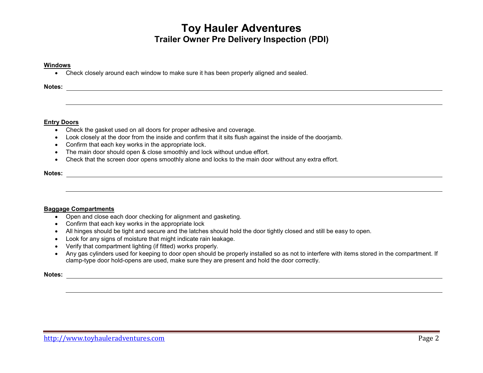### **Windows**

• Check closely around each window to make sure it has been properly aligned and sealed.

# **Notes:**

## **Entry Doors**

- Check the gasket used on all doors for proper adhesive and coverage.
- Look closely at the door from the inside and confirm that it sits flush against the inside of the doorjamb.
- Confirm that each key works in the appropriate lock.
- The main door should open & close smoothly and lock without undue effort.
- Check that the screen door opens smoothly alone and locks to the main door without any extra effort.

## **Notes:**

## **Baggage Compartments**

- Open and close each door checking for alignment and gasketing.
- Confirm that each key works in the appropriate lock
- All hinges should be tight and secure and the latches should hold the door tightly closed and still be easy to open.
- Look for any signs of moisture that might indicate rain leakage.
- Verify that compartment lighting (if fitted) works properly.
- Any gas cylinders used for keeping to door open should be properly installed so as not to interfere with items stored in the compartment. If clamp-type door hold-opens are used, make sure they are present and hold the door correctly.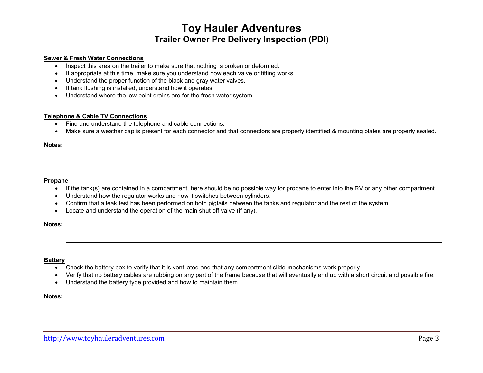### **Sewer & Fresh Water Connections**

- Inspect this area on the trailer to make sure that nothing is broken or deformed.
- If appropriate at this time, make sure you understand how each valve or fitting works.
- Understand the proper function of the black and gray water valves.
- If tank flushing is installed, understand how it operates.
- Understand where the low point drains are for the fresh water system.

## **Telephone & Cable TV Connections**

- Find and understand the telephone and cable connections.
- Make sure a weather cap is present for each connector and that connectors are properly identified & mounting plates are properly sealed.

## **Notes:**

#### **Propane**

- If the tank(s) are contained in a compartment, here should be no possible way for propane to enter into the RV or any other compartment.
- Understand how the regulator works and how it switches between cylinders.
- Confirm that a leak test has been performed on both pigtails between the tanks and regulator and the rest of the system.
- Locate and understand the operation of the main shut off valve (if any).

**Notes:** 

### **Battery**

- Check the battery box to verify that it is ventilated and that any compartment slide mechanisms work properly.
- Verify that no battery cables are rubbing on any part of the frame because that will eventually end up with a short circuit and possible fire.
- Understand the battery type provided and how to maintain them.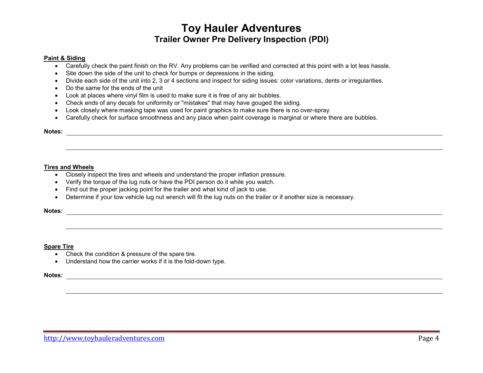### **Paint & Siding**

- Carefully check the paint finish on the RV. Any problems can be verified and corrected at this point with a lot less hassle.
- Site down the side of the unit to check for bumps or depressions in the siding.
- Divide each side of the unit into 2, 3 or 4 sections and inspect for siding issues: color variations, dents or irregularities.
- Do the same for the ends of the unit
- Look at places where vinyl film is used to make sure it is free of any air bubbles.
- Check ends of any decals for uniformity or "mistakes" that may have gouged the siding.
- Look closely where masking tape was used for paint graphics to make sure there is no over-spray.
- Carefully check for surface smoothness and any place when paint coverage is marginal or where there are bubbles.

### **Notes:**

## **Tires and Wheels**

- Closely inspect the tires and wheels and understand the proper inflation pressure.
- Verify the torque of the lug nuts or have the PDI person do it while you watch.
- Find out the proper jacking point for the trailer and what kind of jack to use.
- Determine if your tow vehicle lug nut wrench will fit the lug nuts on the trailer or if another size is necessary.

### **Notes:**

## **Spare Tire**

- Check the condition & pressure of the spare tire.
- Understand how the carrier works if it is the fold-down type.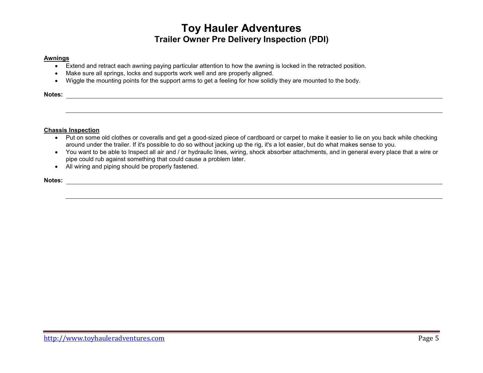## **Awnings**

- Extend and retract each awning paying particular attention to how the awning is locked in the retracted position.
- Make sure all springs, locks and supports work well and are properly aligned.
- Wiggle the mounting points for the support arms to get a feeling for how solidly they are mounted to the body.

<u> 1989 - Johann Stoff, amerikansk politiker (d. 1989)</u>

**Notes:** 

## **Chassis Inspection**

- Put on some old clothes or coveralls and get a good-sized piece of cardboard or carpet to make it easier to lie on you back while checking around under the trailer. If it's possible to do so without jacking up the rig, it's a lot easier, but do what makes sense to you.
- You want to be able to Inspect all air and / or hydraulic lines, wiring, shock absorber attachments, and in general every place that a wire or pipe could rub against something that could cause a problem later.
- All wiring and piping should be properly fastened.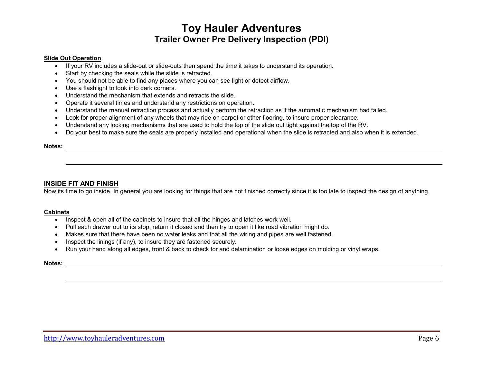## **Slide Out Operation**

- If your RV includes a slide-out or slide-outs then spend the time it takes to understand its operation.
- Start by checking the seals while the slide is retracted.
- You should not be able to find any places where you can see light or detect airflow.
- Use a flashlight to look into dark corners.
- Understand the mechanism that extends and retracts the slide.
- Operate it several times and understand any restrictions on operation.
- Understand the manual retraction process and actually perform the retraction as if the automatic mechanism had failed.
- Look for proper alignment of any wheels that may ride on carpet or other flooring, to insure proper clearance.
- Understand any locking mechanisms that are used to hold the top of the slide out tight against the top of the RV.
- Do your best to make sure the seals are properly installed and operational when the slide is retracted and also when it is extended.

#### **Notes:**

# **INSIDE FIT AND FINISH**

Now its time to go inside. In general you are looking for things that are not finished correctly since it is too late to inspect the design of anything.

### **Cabinets**

- Inspect & open all of the cabinets to insure that all the hinges and latches work well.
- Pull each drawer out to its stop, return it closed and then try to open it like road vibration might do.
- Makes sure that there have been no water leaks and that all the wiring and pipes are well fastened.
- Inspect the linings (if any), to insure they are fastened securely.
- Run your hand along all edges, front & back to check for and delamination or loose edges on molding or vinyl wraps.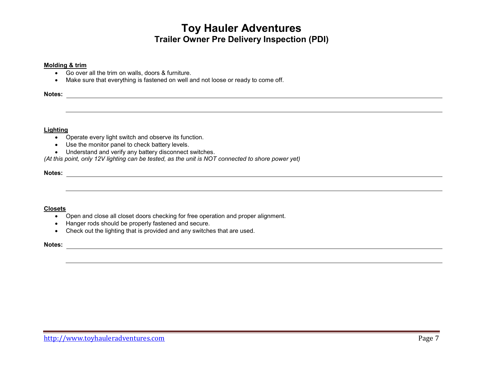### **Molding & trim**

- Go over all the trim on walls, doors & furniture.
- Make sure that everything is fastened on well and not loose or ready to come off.

**Notes:** 

## **Lighting**

- Operate every light switch and observe its function.
- Use the monitor panel to check battery levels.
- Understand and verify any battery disconnect switches.

*(At this point, only 12V lighting can be tested, as the unit is NOT connected to shore power yet)* 

**Notes:** 

## **Closets**

- Open and close all closet doors checking for free operation and proper alignment.
- Hanger rods should be properly fastened and secure.
- Check out the lighting that is provided and any switches that are used.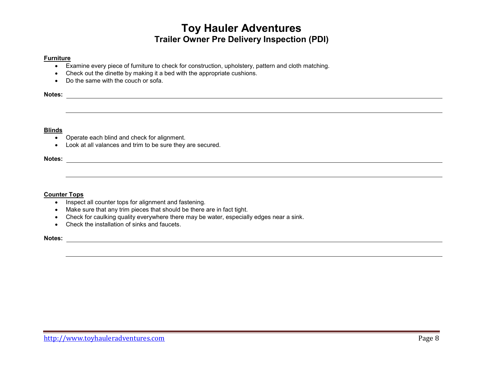## **Furniture**

- Examine every piece of furniture to check for construction, upholstery, pattern and cloth matching.
- Check out the dinette by making it a bed with the appropriate cushions.
- Do the same with the couch or sofa.

**Notes:** 

## **Blinds**

- Operate each blind and check for alignment.
- Look at all valances and trim to be sure they are secured.

**Notes:** 

## **Counter Tops**

- Inspect all counter tops for alignment and fastening.
- Make sure that any trim pieces that should be there are in fact tight.
- Check for caulking quality everywhere there may be water, especially edges near a sink.
- Check the installation of sinks and faucets.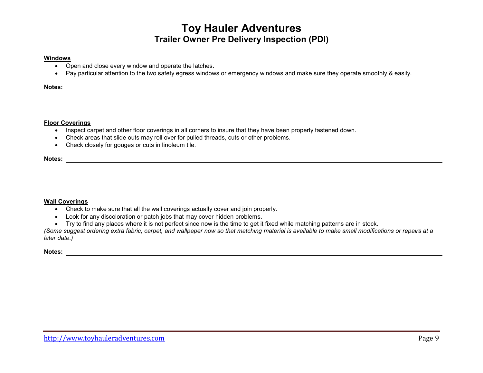## **Windows**

- Open and close every window and operate the latches.
- Pay particular attention to the two safety egress windows or emergency windows and make sure they operate smoothly & easily.

# **Notes:**

## **Floor Coverings**

- Inspect carpet and other floor coverings in all corners to insure that they have been properly fastened down.
- Check areas that slide outs may roll over for pulled threads, cuts or other problems.
- Check closely for gouges or cuts in linoleum tile.

**Notes:** 

# **Wall Coverings**

- Check to make sure that all the wall coverings actually cover and join properly.
- Look for any discoloration or patch jobs that may cover hidden problems.
- Try to find any places where it is not perfect since now is the time to get it fixed while matching patterns are in stock.

 *(Some suggest ordering extra fabric, carpet, and wallpaper now so that matching material is available to make small modifications or repairs at a later date.)*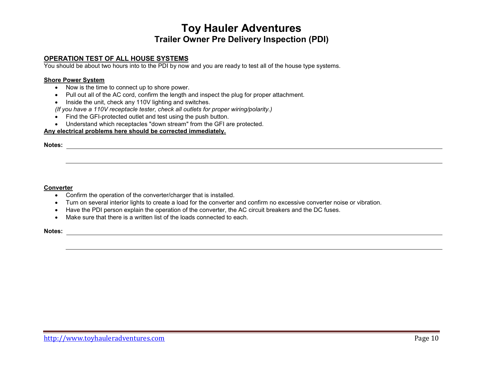# **OPERATION TEST OF ALL HOUSE SYSTEMS**

You should be about two hours into to the PDI by now and you are ready to test all of the house type systems.

#### **Shore Power System**

- Now is the time to connect up to shore power.
- Pull out all of the AC cord, confirm the length and inspect the plug for proper attachment.
- Inside the unit, check any 110V lighting and switches.

*(If you have a 110V receptacle tester, check all outlets for proper wiring/polarity.)* 

- Find the GFI-protected outlet and test using the push button.
- Understand which receptacles "down stream" from the GFI are protected.

## **Any electrical problems here should be corrected immediately.**

**Notes:** 

### **Converter**

- Confirm the operation of the converter/charger that is installed.
- Turn on several interior lights to create a load for the converter and confirm no excessive converter noise or vibration.
- Have the PDI person explain the operation of the converter, the AC circuit breakers and the DC fuses.
- Make sure that there is a written list of the loads connected to each.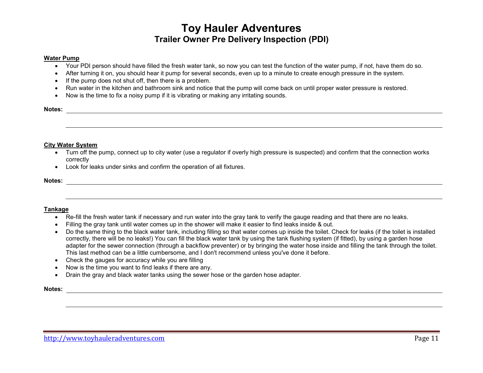#### **Water Pump**

- Your PDI person should have filled the fresh water tank, so now you can test the function of the water pump, if not, have them do so.
- After turning it on, you should hear it pump for several seconds, even up to a minute to create enough pressure in the system.
- If the pump does not shut off, then there is a problem.
- Run water in the kitchen and bathroom sink and notice that the pump will come back on until proper water pressure is restored.
- Now is the time to fix a noisy pump if it is vibrating or making any irritating sounds.

# **Notes:**

### **City Water System**

- Turn off the pump, connect up to city water (use a regulator if overly high pressure is suspected) and confirm that the connection works correctly
- Look for leaks under sinks and confirm the operation of all fixtures.

#### **Notes:**

## **Tankage**

- Re-fill the fresh water tank if necessary and run water into the gray tank to verify the gauge reading and that there are no leaks.
- Filling the gray tank until water comes up in the shower will make it easier to find leaks inside & out.
- Do the same thing to the black water tank, including filling so that water comes up inside the toilet. Check for leaks (if the toilet is installed correctly, there will be no leaks!) You can fill the black water tank by using the tank flushing system (if fitted), by using a garden hose adapter for the sewer connection (through a backflow preventer) or by bringing the water hose inside and filling the tank through the toilet. This last method can be a little cumbersome, and I don't recommend unless you've done it before.
- Check the gauges for accuracy while you are filling
- Now is the time you want to find leaks if there are any.
- Drain the gray and black water tanks using the sewer hose or the garden hose adapter.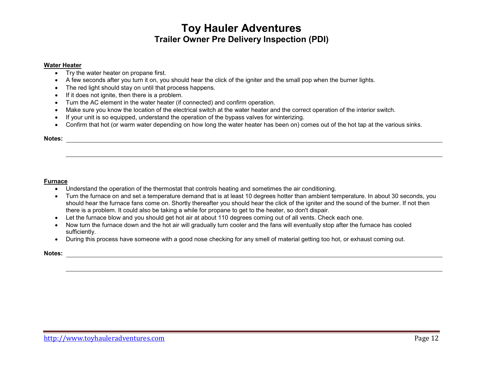#### **Water Heater**

- Try the water heater on propane first.
- A few seconds after you turn it on, you should hear the click of the igniter and the small pop when the burner lights.
- The red light should stay on until that process happens.
- If it does not ignite, then there is a problem.
- Turn the AC element in the water heater (if connected) and confirm operation.
- Make sure you know the location of the electrical switch at the water heater and the correct operation of the interior switch.
- If your unit is so equipped, understand the operation of the bypass valves for winterizing.
- Confirm that hot (or warm water depending on how long the water heater has been on) comes out of the hot tap at the various sinks.

# **Notes:**

#### **Furnace**

- Understand the operation of the thermostat that controls heating and sometimes the air conditioning.
- Turn the furnace on and set a temperature demand that is at least 10 degrees hotter than ambient temperature. In about 30 seconds, you should hear the furnace fans come on. Shortly thereafter you should hear the click of the igniter and the sound of the burner. If not then there is a problem. It could also be taking a while for propane to get to the heater, so don't dispair.
- Let the furnace blow and you should get hot air at about 110 degrees coming out of all vents. Check each one.
- Now turn the furnace down and the hot air will gradually turn cooler and the fans will eventually stop after the furnace has cooled sufficiently.
- During this process have someone with a good nose checking for any smell of material getting too hot, or exhaust coming out.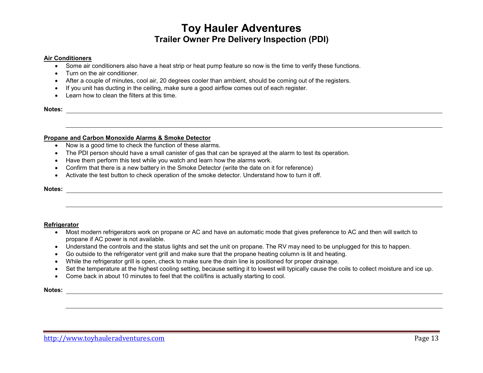### **Air Conditioners**

- Some air conditioners also have a heat strip or heat pump feature so now is the time to verify these functions.
- Turn on the air conditioner.
- After a couple of minutes, cool air, 20 degrees cooler than ambient, should be coming out of the registers.
- If you unit has ducting in the ceiling, make sure a good airflow comes out of each register.
- Learn how to clean the filters at this time.

**Notes:** 

### **Propane and Carbon Monoxide Alarms & Smoke Detector**

- Now is a good time to check the function of these alarms.
- The PDI person should have a small canister of gas that can be sprayed at the alarm to test its operation.
- Have them perform this test while you watch and learn how the alarms work.
- Confirm that there is a new battery in the Smoke Detector (write the date on it for reference)
- Activate the test button to check operation of the smoke detector. Understand how to turn it off.

# **Notes:**

### **Refrigerator**

- Most modern refrigerators work on propane or AC and have an automatic mode that gives preference to AC and then will switch to propane if AC power is not available.
- Understand the controls and the status lights and set the unit on propane. The RV may need to be unplugged for this to happen.
- Go outside to the refrigerator vent grill and make sure that the propane heating column is lit and heating.
- While the refrigerator grill is open, check to make sure the drain line is positioned for proper drainage.
- Set the temperature at the highest cooling setting, because setting it to lowest will typically cause the coils to collect moisture and ice up.
- Come back in about 10 minutes to feel that the coil/fins is actually starting to cool.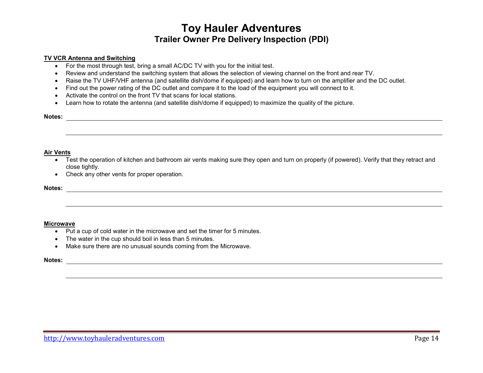### **TV VCR Antenna and Switching**

- For the most through test, bring a small AC/DC TV with you for the initial test.
- Review and understand the switching system that allows the selection of viewing channel on the front and rear TV.
- Raise the TV UHF/VHF antenna (and satellite dish/dome if equipped) and learn how to turn on the amplifier and the DC outlet.
- Find out the power rating of the DC outlet and compare it to the load of the equipment you will connect to it.
- Activate the control on the front TV that scans for local stations.
- Learn how to rotate the antenna (and satellite dish/dome if equipped) to maximize the quality of the picture.

# **Notes:**

### **Air Vents**

- Test the operation of kitchen and bathroom air vents making sure they open and turn on properly (if powered). Verify that they retract and close tightly.
- Check any other vents for proper operation.

## **Notes:**

### **Microwave**

- Put a cup of cold water in the microwave and set the timer for 5 minutes.
- The water in the cup should boil in less than 5 minutes.
- Make sure there are no unusual sounds coming from the Microwave.